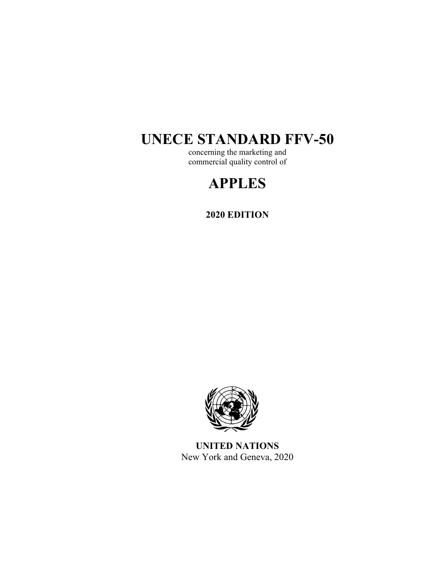# **UNECE STANDARD FFV-50**

concerning the marketing and commercial quality control of

## **APPLES**

**2020 EDITION** 



**UNITED NATIONS**  New York and Geneva, 2020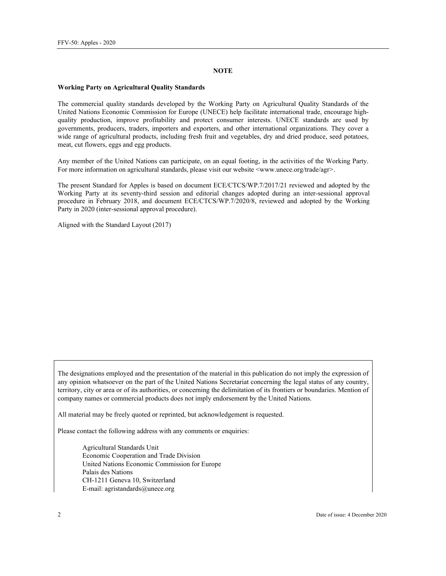#### **NOTE**

#### **Working Party on Agricultural Quality Standards**

The commercial quality standards developed by the Working Party on Agricultural Quality Standards of the United Nations Economic Commission for Europe (UNECE) help facilitate international trade, encourage highquality production, improve profitability and protect consumer interests. UNECE standards are used by governments, producers, traders, importers and exporters, and other international organizations. They cover a wide range of agricultural products, including fresh fruit and vegetables, dry and dried produce, seed potatoes, meat, cut flowers, eggs and egg products.

Any member of the United Nations can participate, on an equal footing, in the activities of the Working Party. For more information on agricultural standards, please visit our website  $\langle$ www.unece.org/trade/agr>.

The present Standard for Apples is based on document ECE/CTCS/WP.7/2017/21 reviewed and adopted by the Working Party at its seventy-third session and editorial changes adopted during an inter-sessional approval procedure in February 2018, and document ECE/CTCS/WP.7/2020/8, reviewed and adopted by the Working Party in 2020 (inter-sessional approval procedure).

Aligned with the Standard Layout (2017)

The designations employed and the presentation of the material in this publication do not imply the expression of any opinion whatsoever on the part of the United Nations Secretariat concerning the legal status of any country, territory, city or area or of its authorities, or concerning the delimitation of its frontiers or boundaries. Mention of company names or commercial products does not imply endorsement by the United Nations.

All material may be freely quoted or reprinted, but acknowledgement is requested.

Please contact the following address with any comments or enquiries:

Agricultural Standards Unit Economic Cooperation and Trade Division United Nations Economic Commission for Europe Palais des Nations CH-1211 Geneva 10, Switzerland E-mail: agristandards@unece.org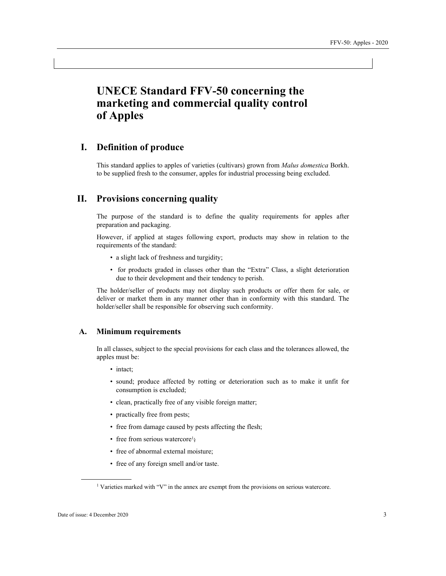## **UNECE Standard FFV-50 concerning the marketing and commercial quality control of Apples**

## **I. Definition of produce**

This standard applies to apples of varieties (cultivars) grown from *Malus domestica* Borkh. to be supplied fresh to the consumer, apples for industrial processing being excluded.

## **II. Provisions concerning quality**

The purpose of the standard is to define the quality requirements for apples after preparation and packaging.

However, if applied at stages following export, products may show in relation to the requirements of the standard:

- a slight lack of freshness and turgidity;
- for products graded in classes other than the "Extra" Class, a slight deterioration due to their development and their tendency to perish.

The holder/seller of products may not display such products or offer them for sale, or deliver or market them in any manner other than in conformity with this standard. The holder/seller shall be responsible for observing such conformity.

#### **A. Minimum requirements**

In all classes, subject to the special provisions for each class and the tolerances allowed, the apples must be:

- intact;
- sound; produce affected by rotting or deterioration such as to make it unfit for consumption is excluded;
- clean, practically free of any visible foreign matter;
- practically free from pests;
- free from damage caused by pests affecting the flesh;
- free from serious watercore<sup>1</sup>;
- free of abnormal external moisture;
- free of any foreign smell and/or taste.

 <sup>1</sup> Varieties marked with "V" in the annex are exempt from the provisions on serious watercore.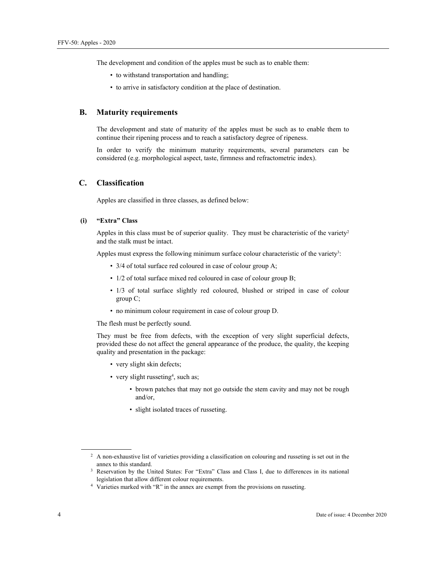The development and condition of the apples must be such as to enable them:

- to withstand transportation and handling;
- to arrive in satisfactory condition at the place of destination.

#### **B. Maturity requirements**

The development and state of maturity of the apples must be such as to enable them to continue their ripening process and to reach a satisfactory degree of ripeness.

In order to verify the minimum maturity requirements, several parameters can be considered (e.g. morphological aspect, taste, firmness and refractometric index).

#### **C. Classification**

Apples are classified in three classes, as defined below:

#### **(i) "Extra" Class**

Apples in this class must be of superior quality. They must be characteristic of the variety<sup>2</sup> and the stalk must be intact.

Apples must express the following minimum surface colour characteristic of the variety<sup>3</sup>:

- 3/4 of total surface red coloured in case of colour group A;
- 1/2 of total surface mixed red coloured in case of colour group B;
- 1/3 of total surface slightly red coloured, blushed or striped in case of colour group C;
- no minimum colour requirement in case of colour group D.

The flesh must be perfectly sound.

They must be free from defects, with the exception of very slight superficial defects, provided these do not affect the general appearance of the produce, the quality, the keeping quality and presentation in the package:

- very slight skin defects;
- very slight russeting<sup>4</sup>, such as;
	- brown patches that may not go outside the stem cavity and may not be rough and/or,
	- slight isolated traces of russeting.

<sup>&</sup>lt;sup>2</sup> A non-exhaustive list of varieties providing a classification on colouring and russeting is set out in the annex to this standard.<br><sup>3</sup> Reservation by the United States: For "Extra" Class and Class I, due to differences in its national

legislation that allow different colour requirements.<br>4 Varieties marked with "R" in the annex are exempt from the provisions on russeting.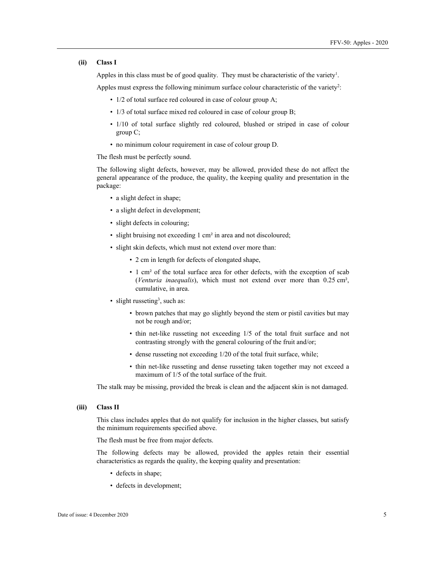#### **(ii) Class I**

Apples in this class must be of good quality. They must be characteristic of the variety<sup>1</sup>.

Apples must express the following minimum surface colour characteristic of the variety<sup>2</sup>:

- 1/2 of total surface red coloured in case of colour group A;
- 1/3 of total surface mixed red coloured in case of colour group B;
- 1/10 of total surface slightly red coloured, blushed or striped in case of colour group C;
- no minimum colour requirement in case of colour group D.

The flesh must be perfectly sound.

The following slight defects, however, may be allowed, provided these do not affect the general appearance of the produce, the quality, the keeping quality and presentation in the package:

- a slight defect in shape;
- a slight defect in development;
- slight defects in colouring;
- slight bruising not exceeding 1 cm² in area and not discoloured;
- slight skin defects, which must not extend over more than:
	- 2 cm in length for defects of elongated shape,
	- 1 cm² of the total surface area for other defects, with the exception of scab (*Venturia inaequalis*), which must not extend over more than 0.25 cm², cumulative, in area.
- slight russeting<sup>3</sup>, such as:
	- brown patches that may go slightly beyond the stem or pistil cavities but may not be rough and/or;
	- thin net-like russeting not exceeding 1/5 of the total fruit surface and not contrasting strongly with the general colouring of the fruit and/or;
	- dense russeting not exceeding 1/20 of the total fruit surface, while;
	- thin net-like russeting and dense russeting taken together may not exceed a maximum of 1/5 of the total surface of the fruit.

The stalk may be missing, provided the break is clean and the adjacent skin is not damaged.

#### **(iii) Class II**

This class includes apples that do not qualify for inclusion in the higher classes, but satisfy the minimum requirements specified above.

The flesh must be free from major defects.

The following defects may be allowed, provided the apples retain their essential characteristics as regards the quality, the keeping quality and presentation:

- defects in shape;
- defects in development;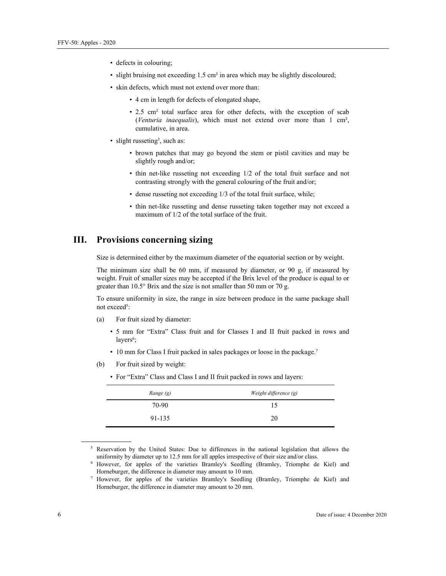- defects in colouring;
- slight bruising not exceeding 1.5 cm² in area which may be slightly discoloured;
- skin defects, which must not extend over more than:
	- 4 cm in length for defects of elongated shape,
	- 2.5 cm² total surface area for other defects, with the exception of scab (*Venturia inaequalis*), which must not extend over more than 1 cm², cumulative, in area.
- slight russeting<sup>3</sup>, such as:
	- brown patches that may go beyond the stem or pistil cavities and may be slightly rough and/or;
	- thin net-like russeting not exceeding 1/2 of the total fruit surface and not contrasting strongly with the general colouring of the fruit and/or;
	- dense russeting not exceeding 1/3 of the total fruit surface, while;
	- thin net-like russeting and dense russeting taken together may not exceed a maximum of 1/2 of the total surface of the fruit.

## **III. Provisions concerning sizing**

Size is determined either by the maximum diameter of the equatorial section or by weight.

The minimum size shall be 60 mm, if measured by diameter, or 90 g, if measured by weight. Fruit of smaller sizes may be accepted if the Brix level of the produce is equal to or greater than 10.5° Brix and the size is not smaller than 50 mm or 70 g.

To ensure uniformity in size, the range in size between produce in the same package shall not exceed<sup>5</sup>:

- (a) For fruit sized by diameter:
	- 5 mm for "Extra" Class fruit and for Classes I and II fruit packed in rows and layers<sup>6</sup>;
	- 10 mm for Class I fruit packed in sales packages or loose in the package.7
- (b) For fruit sized by weight:
	- For "Extra" Class and Class I and II fruit packed in rows and layers:

| Range (g) | Weight difference (g) |
|-----------|-----------------------|
| 70-90     | 15                    |
| 91-135    | 20                    |

<sup>5</sup> Reservation by the United States: Due to differences in the national legislation that allows the uniformity by diameter up to 12.5 mm for all apples irrespective of their size and/or class.

<sup>&</sup>lt;sup>6</sup> However, for apples of the varieties Bramley's Seedling (Bramley, Triomphe de Kiel) and Horneburger, the difference in diameter may amount to 10 mm. 7

 $\frac{7}{1}$  However, for apples of the varieties Bramley's Seedling (Bramley, Triomphe de Kiel) and Horneburger, the difference in diameter may amount to 20 mm.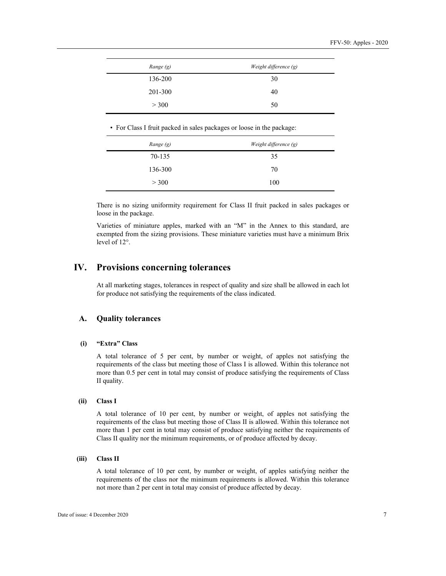| Range (g) | Weight difference (g) |
|-----------|-----------------------|
| 136-200   | 30                    |
| 201-300   | 40                    |
| > 300     | 50                    |
|           |                       |

• For Class I fruit packed in sales packages or loose in the package:

| Range (g) | Weight difference (g) |
|-----------|-----------------------|
| 70-135    | 35                    |
| 136-300   | 70                    |
| > 300     | 100                   |

There is no sizing uniformity requirement for Class II fruit packed in sales packages or loose in the package.

Varieties of miniature apples, marked with an "M" in the Annex to this standard, are exempted from the sizing provisions. These miniature varieties must have a minimum Brix level of 12°.

## **IV. Provisions concerning tolerances**

At all marketing stages, tolerances in respect of quality and size shall be allowed in each lot for produce not satisfying the requirements of the class indicated.

#### **A. Quality tolerances**

#### **(i) "Extra" Class**

A total tolerance of 5 per cent, by number or weight, of apples not satisfying the requirements of the class but meeting those of Class I is allowed. Within this tolerance not more than 0.5 per cent in total may consist of produce satisfying the requirements of Class II quality.

#### **(ii) Class I**

A total tolerance of 10 per cent, by number or weight, of apples not satisfying the requirements of the class but meeting those of Class II is allowed. Within this tolerance not more than 1 per cent in total may consist of produce satisfying neither the requirements of Class II quality nor the minimum requirements, or of produce affected by decay.

#### **(iii) Class II**

A total tolerance of 10 per cent, by number or weight, of apples satisfying neither the requirements of the class nor the minimum requirements is allowed. Within this tolerance not more than 2 per cent in total may consist of produce affected by decay.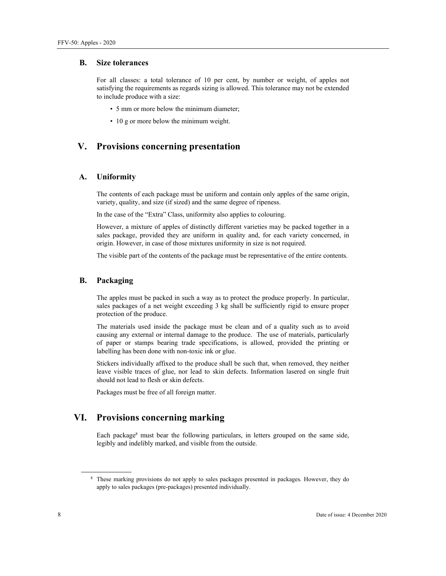#### **B. Size tolerances**

For all classes: a total tolerance of 10 per cent, by number or weight, of apples not satisfying the requirements as regards sizing is allowed. This tolerance may not be extended to include produce with a size:

- 5 mm or more below the minimum diameter;
- 10 g or more below the minimum weight.

### **V. Provisions concerning presentation**

#### **A. Uniformity**

The contents of each package must be uniform and contain only apples of the same origin, variety, quality, and size (if sized) and the same degree of ripeness.

In the case of the "Extra" Class, uniformity also applies to colouring.

However, a mixture of apples of distinctly different varieties may be packed together in a sales package, provided they are uniform in quality and, for each variety concerned, in origin. However, in case of those mixtures uniformity in size is not required.

The visible part of the contents of the package must be representative of the entire contents.

#### **B. Packaging**

The apples must be packed in such a way as to protect the produce properly. In particular, sales packages of a net weight exceeding 3 kg shall be sufficiently rigid to ensure proper protection of the produce.

The materials used inside the package must be clean and of a quality such as to avoid causing any external or internal damage to the produce. The use of materials, particularly of paper or stamps bearing trade specifications, is allowed, provided the printing or labelling has been done with non-toxic ink or glue.

Stickers individually affixed to the produce shall be such that, when removed, they neither leave visible traces of glue, nor lead to skin defects. Information lasered on single fruit should not lead to flesh or skin defects.

Packages must be free of all foreign matter.

## **VI. Provisions concerning marking**

Each package8 must bear the following particulars, in letters grouped on the same side, legibly and indelibly marked, and visible from the outside.

<sup>8</sup> These marking provisions do not apply to sales packages presented in packages. However, they do apply to sales packages (pre-packages) presented individually.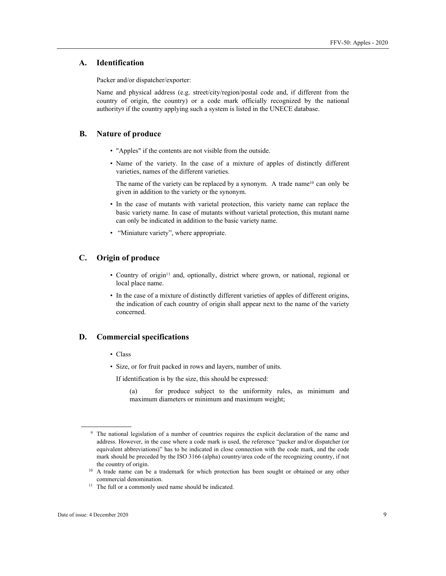#### **A. Identification**

Packer and/or dispatcher/exporter:

Name and physical address (e.g. street/city/region/postal code and, if different from the country of origin, the country) or a code mark officially recognized by the national authority9 if the country applying such a system is listed in the UNECE database.

#### **B. Nature of produce**

- "Apples" if the contents are not visible from the outside.
- Name of the variety. In the case of a mixture of apples of distinctly different varieties, names of the different varieties.

The name of the variety can be replaced by a synonym. A trade name<sup>10</sup> can only be given in addition to the variety or the synonym.

- In the case of mutants with varietal protection, this variety name can replace the basic variety name. In case of mutants without varietal protection, this mutant name can only be indicated in addition to the basic variety name.
- "Miniature variety", where appropriate.

#### **C. Origin of produce**

- Country of origin<sup>11</sup> and, optionally, district where grown, or national, regional or local place name.
- In the case of a mixture of distinctly different varieties of apples of different origins, the indication of each country of origin shall appear next to the name of the variety concerned.

#### **D. Commercial specifications**

- Class
- Size, or for fruit packed in rows and layers, number of units.

If identification is by the size, this should be expressed:

(a) for produce subject to the uniformity rules, as minimum and maximum diameters or minimum and maximum weight;

<sup>9</sup> The national legislation of a number of countries requires the explicit declaration of the name and address. However, in the case where a code mark is used, the reference "packer and/or dispatcher (or equivalent abbreviations)" has to be indicated in close connection with the code mark, and the code mark should be preceded by the ISO 3166 (alpha) country/area code of the recognizing country, if not

the country of origin. 10 A trade name can be a trademark for which protection has been sought or obtained or any other commercial denomination.<br><sup>11</sup> The full or a commonly used name should be indicated.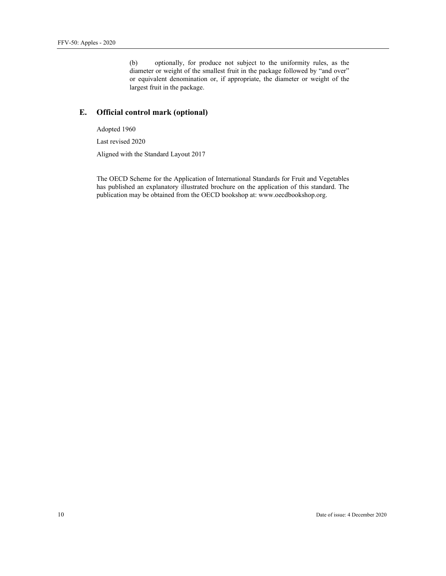(b) optionally, for produce not subject to the uniformity rules, as the diameter or weight of the smallest fruit in the package followed by "and over" or equivalent denomination or, if appropriate, the diameter or weight of the largest fruit in the package.

#### **E. Official control mark (optional)**

Adopted 1960

Last revised 2020

Aligned with the Standard Layout 2017

The OECD Scheme for the Application of International Standards for Fruit and Vegetables has published an explanatory illustrated brochure on the application of this standard. The publication may be obtained from the OECD bookshop at: www.oecdbookshop.org.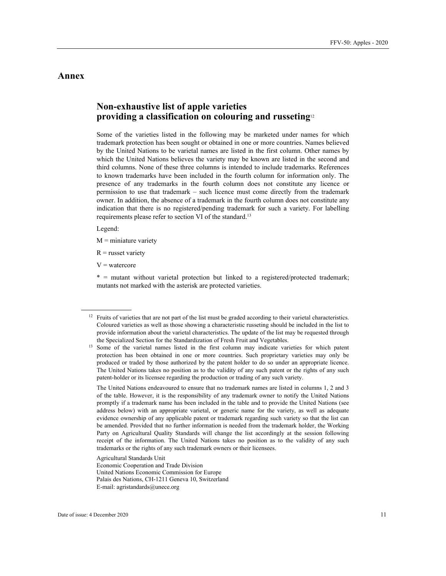## **Annex**

## **Non-exhaustive list of apple varieties providing a classification on colouring and russeting**<sup>12</sup>

Some of the varieties listed in the following may be marketed under names for which trademark protection has been sought or obtained in one or more countries. Names believed by the United Nations to be varietal names are listed in the first column. Other names by which the United Nations believes the variety may be known are listed in the second and third columns. None of these three columns is intended to include trademarks. References to known trademarks have been included in the fourth column for information only. The presence of any trademarks in the fourth column does not constitute any licence or permission to use that trademark – such licence must come directly from the trademark owner. In addition, the absence of a trademark in the fourth column does not constitute any indication that there is no registered/pending trademark for such a variety. For labelling requirements please refer to section VI of the standard.<sup>13</sup>

Legend:

 $\overline{a}$ 

 $M =$  miniature variety

 $R$  = russet variety

 $V =$ watercore

 $*$  = mutant without varietal protection but linked to a registered/protected trademark; mutants not marked with the asterisk are protected varieties.

Agricultural Standards Unit Economic Cooperation and Trade Division United Nations Economic Commission for Europe Palais des Nations, CH-1211 Geneva 10, Switzerland E-mail: agristandards@unece.org

<sup>&</sup>lt;sup>12</sup> Fruits of varieties that are not part of the list must be graded according to their varietal characteristics. Coloured varieties as well as those showing a characteristic russeting should be included in the list to provide information about the varietal characteristics. The update of the list may be requested through

the Specialized Section for the Standardization of Fresh Fruit and Vegetables. 13 Some of the varietal names listed in the first column may indicate varieties for which patent protection has been obtained in one or more countries. Such proprietary varieties may only be produced or traded by those authorized by the patent holder to do so under an appropriate licence. The United Nations takes no position as to the validity of any such patent or the rights of any such patent-holder or its licensee regarding the production or trading of any such variety.

The United Nations endeavoured to ensure that no trademark names are listed in columns 1, 2 and 3 of the table. However, it is the responsibility of any trademark owner to notify the United Nations promptly if a trademark name has been included in the table and to provide the United Nations (see address below) with an appropriate varietal, or generic name for the variety, as well as adequate evidence ownership of any applicable patent or trademark regarding such variety so that the list can be amended. Provided that no further information is needed from the trademark holder, the Working Party on Agricultural Quality Standards will change the list accordingly at the session following receipt of the information. The United Nations takes no position as to the validity of any such trademarks or the rights of any such trademark owners or their licensees.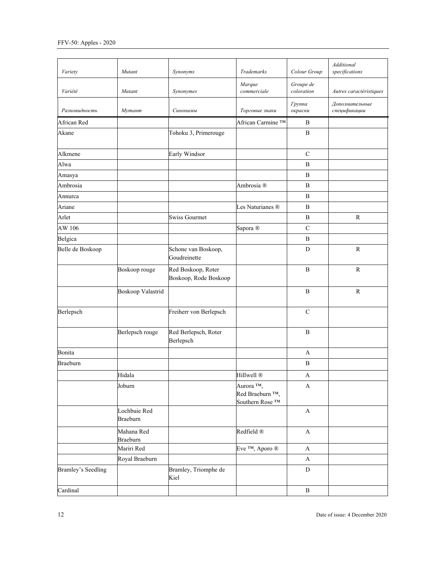| Variety            | Mutant                          | Synonyms                                    | Trademarks                                                               | Colour Group             | Additional<br>specifications   |
|--------------------|---------------------------------|---------------------------------------------|--------------------------------------------------------------------------|--------------------------|--------------------------------|
| Variété            | Mutant                          | Synonymes                                   | Marque<br>commerciale                                                    | Groupe de<br>coloration  | Autres caractéristiques        |
| Разновидность      | Мутант                          | Синонимы                                    | Торговые знаки                                                           | <b>Tpynna</b><br>окраски | Дополнительные<br>спецификации |
| African Red        |                                 |                                             | African Carmine ™                                                        | $\, {\bf B}$             |                                |
| Akane              |                                 | Tohoku 3, Primerouge                        |                                                                          | $\, {\bf B}$             |                                |
| Alkmene            |                                 | Early Windsor                               |                                                                          | $\mathsf{C}$             |                                |
| Alwa               |                                 |                                             |                                                                          | B                        |                                |
| Amasya             |                                 |                                             |                                                                          | B                        |                                |
| Ambrosia           |                                 |                                             | Ambrosia <sup>®</sup>                                                    | $\bf{B}$                 |                                |
| Annurca            |                                 |                                             |                                                                          | $\, {\bf B}$             |                                |
| Ariane             |                                 |                                             | Les Naturianes ®                                                         | B                        |                                |
| Arlet              |                                 | <b>Swiss Gourmet</b>                        |                                                                          | B                        | $\mathbb{R}$                   |
| AW 106             |                                 |                                             | Sapora <sup>®</sup>                                                      | $\mathbf C$              |                                |
| Belgica            |                                 |                                             |                                                                          | $\, {\bf B}$             |                                |
| Belle de Boskoop   |                                 | Schone van Boskoop,<br>Goudreinette         |                                                                          | D                        | $\mathbb{R}$                   |
|                    | Boskoop rouge                   | Red Boskoop, Roter<br>Boskoop, Rode Boskoop |                                                                          | $\bf{B}$                 | $\mathbf R$                    |
|                    | Boskoop Valastrid               |                                             |                                                                          | $\, {\bf B}$             | ${\bf R}$                      |
| Berlepsch          |                                 | Freiherr von Berlepsch                      |                                                                          | $\mathbf C$              |                                |
|                    | Berlepsch rouge                 | Red Berlepsch, Roter<br>Berlepsch           |                                                                          | $\bf{B}$                 |                                |
| Bonita             |                                 |                                             |                                                                          | A                        |                                |
| Braeburn           |                                 |                                             |                                                                          | $\, {\bf B}$             |                                |
|                    | Hidala                          |                                             | Hillwell <sup>®</sup>                                                    | $\boldsymbol{A}$         |                                |
|                    | Joburn                          |                                             | Aurora ™,<br>Red Braeburn <sup>TM</sup> ,<br>Southern Rose <sup>TM</sup> | $\mathbf{A}$             |                                |
|                    | Lochbuie Red<br><b>Braeburn</b> |                                             |                                                                          | $\mathbf{A}$             |                                |
|                    | Mahana Red<br>Braeburn          |                                             | Redfield <sup>®</sup>                                                    | $\mathbf{A}$             |                                |
|                    | Mariri Red                      |                                             | Eve ™, Aporo ®                                                           | A                        |                                |
|                    | Royal Braeburn                  |                                             |                                                                          | $\mathbf{A}$             |                                |
| Bramley's Seedling |                                 | Bramley, Triomphe de<br>Kiel                |                                                                          | ${\rm D}$                |                                |
| Cardinal           |                                 |                                             |                                                                          | B                        |                                |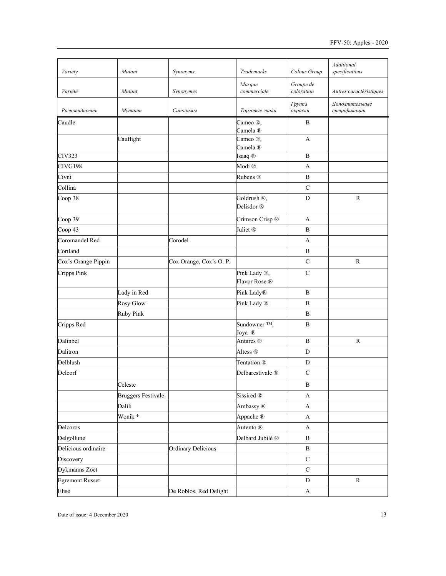| Variety                | Mutant                    | Synonyms               | Trademarks                           | Colour Group             | Additional<br>specifications   |
|------------------------|---------------------------|------------------------|--------------------------------------|--------------------------|--------------------------------|
| Variété                | Mutant                    | Synonymes              | Marque<br>commerciale                | Groupe de<br>coloration  | Autres caractéristiques        |
| Разновидность          | Мутант                    | Синонимы               | Торговые знаки                       | <b>Tpynna</b><br>окраски | Дополнительные<br>спецификации |
| Caudle                 |                           |                        | Cameo ®,<br>Camela <sup>®</sup>      | B                        |                                |
|                        | Cauflight                 |                        | Cameo ®,<br>Camela <sup>®</sup>      | A                        |                                |
| CIV323                 |                           |                        | Isaaq ®                              | B                        |                                |
| CIVG198                |                           |                        | Modi <sup>®</sup>                    | A                        |                                |
| Civni                  |                           |                        | Rubens ®                             | B                        |                                |
| Collina                |                           |                        |                                      | ${\bf C}$                |                                |
| Coop 38                |                           |                        | Goldrush ®,<br>Delisdor <sup>®</sup> | D                        | ${\bf R}$                      |
| Coop 39                |                           |                        | Crimson Crisp ®                      | A                        |                                |
| Coop 43                |                           |                        | Juliet <sup>®</sup>                  | B                        |                                |
| Coromandel Red         |                           | Corodel                |                                      | А                        |                                |
| Cortland               |                           |                        |                                      | B                        |                                |
| Cox's Orange Pippin    |                           | Cox Orange, Cox's O.P. |                                      | $\mathbf C$              | $\mathbb{R}$                   |
| Cripps Pink            |                           |                        | Pink Lady ®,<br>Flavor Rose ®        | $\mathsf{C}$             |                                |
|                        | Lady in Red               |                        | Pink Lady <sup>®</sup>               | $\, {\bf B}$             |                                |
|                        | Rosy Glow                 |                        | Pink Lady ®                          | B                        |                                |
|                        | <b>Ruby Pink</b>          |                        |                                      | B                        |                                |
| Cripps Red             |                           |                        | Sundowner <sup>TM</sup> ,<br>Joya ®  | B                        |                                |
| Dalinbel               |                           |                        | Antares ®                            | $\bf{B}$                 | ${\bf R}$                      |
| Dalitron               |                           |                        | Altess <sup>®</sup>                  | D                        |                                |
| Delblush               |                           |                        | Tentation ®                          | D                        |                                |
| Delcorf                |                           |                        | Delbarestivale ®                     | $\mathbf C$              |                                |
|                        | Celeste                   |                        |                                      | $\, {\bf B}$             |                                |
|                        | <b>Bruggers Festivale</b> |                        | Sissired <sup>®</sup>                | $\boldsymbol{\rm{A}}$    |                                |
|                        | Dalili                    |                        | Ambassy ®                            | A                        |                                |
|                        | Wonik <sup>*</sup>        |                        | Appache ®                            | $\mathbf{A}$             |                                |
| Delcoros               |                           |                        | Autento ®                            | $\mathbf{A}$             |                                |
| Delgollune             |                           |                        | Delbard Jubilé ®                     | $\, {\bf B}$             |                                |
| Delicious ordinaire    |                           | Ordinary Delicious     |                                      | $\, {\bf B}$             |                                |
| Discovery              |                           |                        |                                      | ${\bf C}$                |                                |
| Dykmanns Zoet          |                           |                        |                                      | $\mathbf C$              |                                |
| <b>Egremont Russet</b> |                           |                        |                                      | D                        | $\mathbb{R}$                   |
| Elise                  |                           | De Roblos, Red Delight |                                      | $\mathbf{A}$             |                                |
|                        |                           |                        |                                      |                          |                                |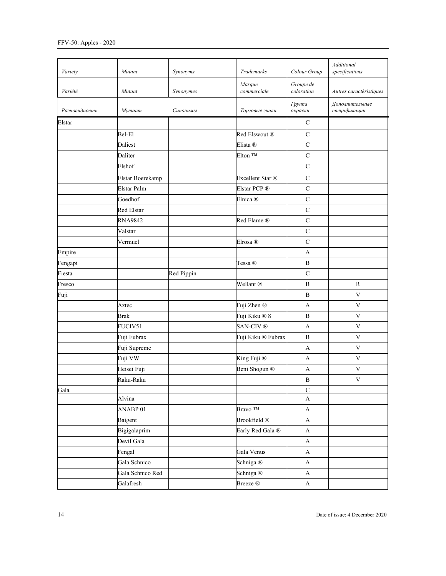| Variety       | Mutant           | Synonyms   | Trademarks            | Colour Group             | <b>Additional</b><br>specifications |
|---------------|------------------|------------|-----------------------|--------------------------|-------------------------------------|
| Variété       | Mutant           | Synonymes  | Marque<br>commerciale | Groupe de<br>coloration  | Autres caractéristiques             |
| Разновидность | Мутант           | Синонимы   | Торговые знаки        | <b>Tpynna</b><br>окраски | Дополнительные<br>спецификации      |
| Elstar        |                  |            |                       | $\mathbf C$              |                                     |
|               | Bel-El           |            | Red Elswout ®         | ${\bf C}$                |                                     |
|               | Daliest          |            | Elista ®              | ${\bf C}$                |                                     |
|               | Daliter          |            | Elton <sup>TM</sup>   | $\mathbf C$              |                                     |
|               | Elshof           |            |                       | $\mathsf{C}$             |                                     |
|               | Elstar Boerekamp |            | Excellent Star ®      | ${\bf C}$                |                                     |
|               | Elstar Palm      |            | Elstar PCP ®          | $\mathsf{C}$             |                                     |
|               | Goedhof          |            | Elnica ®              | $\mathbf C$              |                                     |
|               | Red Elstar       |            |                       | $\mathsf{C}$             |                                     |
|               | <b>RNA9842</b>   |            | Red Flame ®           | $\mathbf C$              |                                     |
|               | Valstar          |            |                       | $\mathbf C$              |                                     |
|               | Vermuel          |            | Elrosa ®              | $\mathbf C$              |                                     |
| Empire        |                  |            |                       | A                        |                                     |
| Fengapi       |                  |            | Tessa ®               | B                        |                                     |
| Fiesta        |                  | Red Pippin |                       | $\mathbf C$              |                                     |
| Fresco        |                  |            | Wellant ®             | $\, {\bf B}$             | $\mathbb{R}$                        |
| Fuji          |                  |            |                       | $\, {\bf B}$             | $\mathbf{V}$                        |
|               | Aztec            |            | Fuji Zhen ®           | A                        | $\ensuremath{\mathbf{V}}$           |
|               | <b>Brak</b>      |            | Fuji Kiku ® 8         | B                        | $\mathbf{V}$                        |
|               | FUCIV51          |            | SAN-CIV <sup>®</sup>  | A                        | $\ensuremath{\mathbf{V}}$           |
|               | Fuji Fubrax      |            | Fuji Kiku ® Fubrax    | $\, {\bf B}$             | $\ensuremath{\mathbf{V}}$           |
|               | Fuji Supreme     |            |                       | A                        | $\mathbf{V}$                        |
|               | Fuji VW          |            | King Fuji ®           | A                        | $\mathbf V$                         |
|               | Heisei Fuji      |            | Beni Shogun ®         | A                        | $\ensuremath{\mathbf{V}}$           |
|               | Raku-Raku        |            |                       | B                        | $\mathbf V$                         |
| Gala          |                  |            |                       | ${\bf C}$                |                                     |
|               | Alvina           |            |                       | $\mathbf{A}$             |                                     |
|               | ANABP 01         |            | Bravo TM              | $\mathbf{A}$             |                                     |
|               | Baigent          |            | Brookfield ®          | $\mathbf{A}$             |                                     |
|               | Bigigalaprim     |            | Early Red Gala ®      | $\mathbf{A}$             |                                     |
|               | Devil Gala       |            |                       | $\mathbf{A}$             |                                     |
|               | Fengal           |            | Gala Venus            | $\mathbf A$              |                                     |
|               | Gala Schnico     |            | Schniga <sup>®</sup>  | $\mathbf{A}$             |                                     |
|               | Gala Schnico Red |            | Schniga <sup>®</sup>  | $\mathbf{A}$             |                                     |
|               | Galafresh        |            | Breeze ®              | A                        |                                     |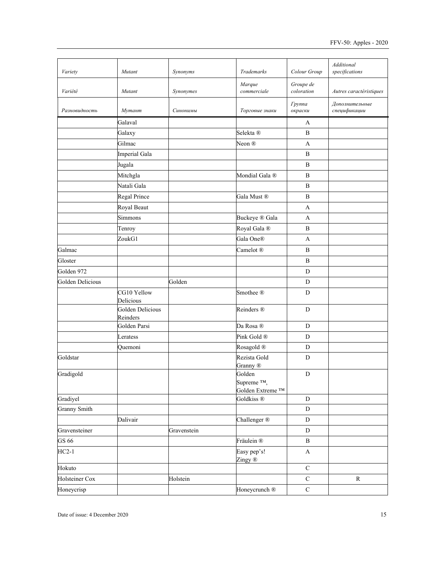| Variety             | Mutant                              | Synonyms    | Trademarks                                            | Colour Group             | Additional<br>specifications   |
|---------------------|-------------------------------------|-------------|-------------------------------------------------------|--------------------------|--------------------------------|
| Variété             | Mutant                              | Synonymes   | Marque<br>commerciale                                 | Groupe de<br>coloration  | Autres caractéristiques        |
| Разновидность       | Мутант                              | Синонимы    | Торговые знаки                                        | <b>Tpynna</b><br>окраски | Дополнительные<br>спецификации |
|                     | Galaval                             |             |                                                       | A                        |                                |
|                     | Galaxy                              |             | Selekta ®                                             | B                        |                                |
|                     | Gilmac                              |             | Neon <sup>®</sup>                                     | A                        |                                |
|                     | Imperial Gala                       |             |                                                       | $\, {\bf B}$             |                                |
|                     | Jugala                              |             |                                                       | $\bf{B}$                 |                                |
|                     | Mitchgla                            |             | Mondial Gala ®                                        | $\bf{B}$                 |                                |
|                     | Natali Gala                         |             |                                                       | B                        |                                |
|                     | Regal Prince                        |             | Gala Must ®                                           | $\bf{B}$                 |                                |
|                     | Royal Beaut                         |             |                                                       | A                        |                                |
|                     | Simmons                             |             | Buckeye ® Gala                                        | A                        |                                |
|                     | Tenroy                              |             | Royal Gala ®                                          | B                        |                                |
|                     | ZoukG1                              |             | Gala One®                                             | A                        |                                |
| Galmac              |                                     |             | Camelot <sup>®</sup>                                  | B                        |                                |
| Gloster             |                                     |             |                                                       | $\bf{B}$                 |                                |
| Golden 972          |                                     |             |                                                       | $\mathbf D$              |                                |
| Golden Delicious    |                                     | Golden      |                                                       | D                        |                                |
|                     | CG10 Yellow                         |             | Smothee ®                                             | $\mathbf D$              |                                |
|                     | Delicious                           |             |                                                       |                          |                                |
|                     | <b>Golden Delicious</b><br>Reinders |             | Reinders <sup>®</sup>                                 | ${\bf D}$                |                                |
|                     | Golden Parsi                        |             | Da Rosa ®                                             | $\mathbf D$              |                                |
|                     | Leratess                            |             | Pink Gold ®                                           | $\mathbf D$              |                                |
|                     | Quemoni                             |             | Rosagold <sup>®</sup>                                 | D                        |                                |
| Goldstar            |                                     |             | Rezista Gold<br>Granny <sup>®</sup>                   | D                        |                                |
| Gradigold           |                                     |             | Golden<br>Supreme <sup>TM</sup> ,<br>Golden Extreme ™ | $\mathbf D$              |                                |
| Gradiyel            |                                     |             | Goldkiss <sup>®</sup>                                 | $\mathbf D$              |                                |
| <b>Granny Smith</b> |                                     |             |                                                       | ${\bf D}$                |                                |
|                     | Dalivair                            |             | Challenger <sup>®</sup>                               | ${\rm D}$                |                                |
| Gravensteiner       |                                     | Gravenstein |                                                       | $\mathbf D$              |                                |
| GS 66               |                                     |             | Fräulein ®                                            | $\, {\bf B}$             |                                |
| $HC2-1$             |                                     |             | Easy pep's!<br>Zingy ®                                | $\boldsymbol{\rm{A}}$    |                                |
| Hokuto              |                                     |             |                                                       | $\mathbf C$              |                                |
| Holsteiner Cox      |                                     | Holstein    |                                                       | $\mathbf C$              | ${\bf R}$                      |
| Honeycrisp          |                                     |             | Honeycrunch ®                                         | $\mathbf C$              |                                |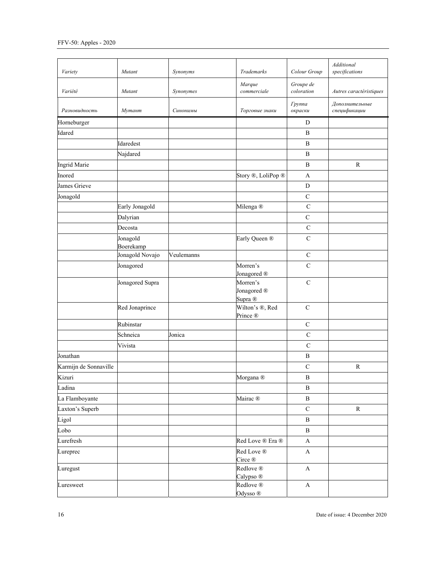| Variety               | Mutant                | Synonyms   | Trademarks                                    | Colour Group             | Additional<br>specifications   |
|-----------------------|-----------------------|------------|-----------------------------------------------|--------------------------|--------------------------------|
| Variété               | Mutant                | Synonymes  | Marque<br>commerciale                         | Groupe de<br>coloration  | Autres caractéristiques        |
| Разновидность         | Мутант                | Синонимы   | Торговые знаки                                | <b>Tpynna</b><br>окраски | Дополнительные<br>спецификации |
| Horneburger           |                       |            |                                               | $\mathbf D$              |                                |
| Idared                |                       |            |                                               | $\, {\bf B}$             |                                |
|                       | Idaredest             |            |                                               | $\, {\bf B}$             |                                |
|                       | Najdared              |            |                                               | B                        |                                |
| Ingrid Marie          |                       |            |                                               | $\, {\bf B}$             | $\mathbb{R}$                   |
| Inored                |                       |            | Story ®, LoliPop ®                            | $\mathbf{A}$             |                                |
| James Grieve          |                       |            |                                               | ${\rm D}$                |                                |
| Jonagold              |                       |            |                                               | $\mathbf C$              |                                |
|                       | Early Jonagold        |            | Milenga ®                                     | $\mathbf C$              |                                |
|                       | Dalyrian              |            |                                               | $\mathbf C$              |                                |
|                       | Decosta               |            |                                               | $\mathbf C$              |                                |
|                       | Jonagold<br>Boerekamp |            | Early Queen ®                                 | $\mathbf C$              |                                |
|                       | Jonagold Novajo       | Veulemanns |                                               | $\mathbf C$              |                                |
|                       | Jonagored             |            | Morren's<br>Jonagored <sup>®</sup>            | $\mathbf C$              |                                |
|                       | Jonagored Supra       |            | Morren's<br>Jonagored <sup>®</sup><br>Supra ® | $\mathbf C$              |                                |
|                       | Red Jonaprince        |            | Wilton's ®, Red<br>Prince ®                   | $\mathbf C$              |                                |
|                       | Rubinstar             |            |                                               | $\mathsf{C}$             |                                |
|                       | Schneica              | Jonica     |                                               | ${\bf C}$                |                                |
|                       | Vivista               |            |                                               | $\mathbf C$              |                                |
| Jonathan              |                       |            |                                               | $\, {\bf B}$             |                                |
| Karmijn de Sonnaville |                       |            |                                               | ${\bf C}$                | ${\bf R}$                      |
| Kizuri                |                       |            | Morgana <sup>®</sup>                          | $\, {\bf B}$             |                                |
| Ladina                |                       |            |                                               | B                        |                                |
| La Flamboyante        |                       |            | Mairac ®                                      | B                        |                                |
| Laxton's Superb       |                       |            |                                               | $\mathsf C$              | ${\bf R}$                      |
| Ligol                 |                       |            |                                               | $\, {\bf B}$             |                                |
| Lobo                  |                       |            |                                               | $\, {\bf B}$             |                                |
| Lurefresh             |                       |            | Red Love ® Era ®                              | A                        |                                |
| Lureprec              |                       |            | Red Love ®<br>Circe ®                         | $\mathbf{A}$             |                                |
| Luregust              |                       |            | Redlove ®<br>Calypso ®                        | A                        |                                |
| Luresweet             |                       |            | Redlove ®<br>Odysso ®                         | A                        |                                |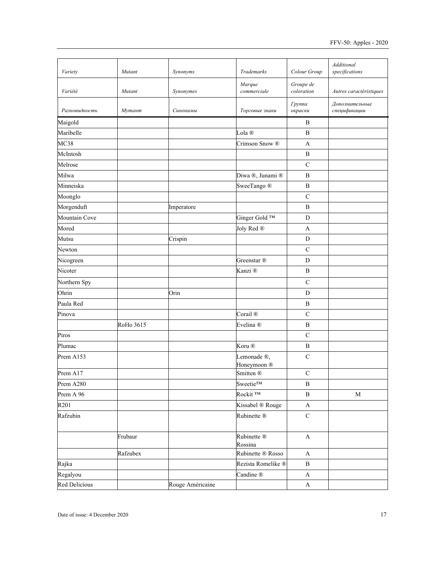| Variety          | Mutant    | Synonyms         | Trademarks                            | Colour Group             | Additional<br>specifications   |
|------------------|-----------|------------------|---------------------------------------|--------------------------|--------------------------------|
| Variété          | Mutant    | Synonymes        | Marque<br>commerciale                 | Groupe de<br>coloration  | Autres caractéristiques        |
| Разновидность    | Мутант    | Синонимы         | Торговые знаки                        | <b>Tpynna</b><br>окраски | Дополнительные<br>спецификации |
| Maigold          |           |                  |                                       | B                        |                                |
| Maribelle        |           |                  | Lola <sup>®</sup>                     | B                        |                                |
| MC38             |           |                  | Crimson Snow ®                        | A                        |                                |
| McIntosh         |           |                  |                                       | $\bf{B}$                 |                                |
| Melrose          |           |                  |                                       | $\mathsf{C}$             |                                |
| Milwa            |           |                  | Diwa ®, Junami ®                      | B                        |                                |
| Minneiska        |           |                  | SweeTango ®                           | B                        |                                |
| Moonglo          |           |                  |                                       | $\mathbf C$              |                                |
| Morgenduft       |           | Imperatore       |                                       | $\bf{B}$                 |                                |
| Mountain Cove    |           |                  | Ginger Gold TM                        | D                        |                                |
| Mored            |           |                  | Joly Red ®                            | A                        |                                |
| Mutsu            |           | Crispin          |                                       | $\mathbf D$              |                                |
| Newton           |           |                  |                                       | $\mathbf C$              |                                |
| Nicogreen        |           |                  | Greenstar ®                           | D                        |                                |
| Nicoter          |           |                  | Kanzi ®                               | B                        |                                |
| Northern Spy     |           |                  |                                       | $\mathsf{C}$             |                                |
| Ohrin            |           | Orin             |                                       | D                        |                                |
| Paula Red        |           |                  |                                       | B                        |                                |
| Pinova           |           |                  | Corail <sup>®</sup>                   | $\mathbf C$              |                                |
|                  | RoHo 3615 |                  | Evelina ®                             | $\, {\bf B}$             |                                |
| Piros            |           |                  |                                       | $\mathbf C$              |                                |
| Plumac           |           |                  | Koru <sup>®</sup>                     | $\bf{B}$                 |                                |
| Prem A153        |           |                  | Lemonade ®,<br>Honeymoon <sup>®</sup> | $\overline{C}$           |                                |
| Prem A17         |           |                  | Smitten ®                             | $\mathbf C$              |                                |
| Prem A280        |           |                  | Sweetie <sup>TM</sup>                 | B                        |                                |
| Prem A 96        |           |                  | Rockit <sup>TM</sup>                  | $\, {\bf B}$             | $\mathbf M$                    |
| R <sub>201</sub> |           |                  | Kissabel ® Rouge                      | $\boldsymbol{\rm{A}}$    |                                |
| Rafzubin         |           |                  | Rubinette ®                           | $\mathbf C$              |                                |
|                  | Frubaur   |                  | Rubinette ®<br>Rossina                | $\boldsymbol{\rm{A}}$    |                                |
|                  | Rafzubex  |                  | Rubinette ® Rosso                     | $\mathbf{A}$             |                                |
| Rajka            |           |                  | Rezista Romelike ®                    | $\, {\bf B}$             |                                |
| Regalyou         |           |                  | Candine ®                             | $\mathbf A$              |                                |
| Red Delicious    |           | Rouge Américaine |                                       | $\mathbf A$              |                                |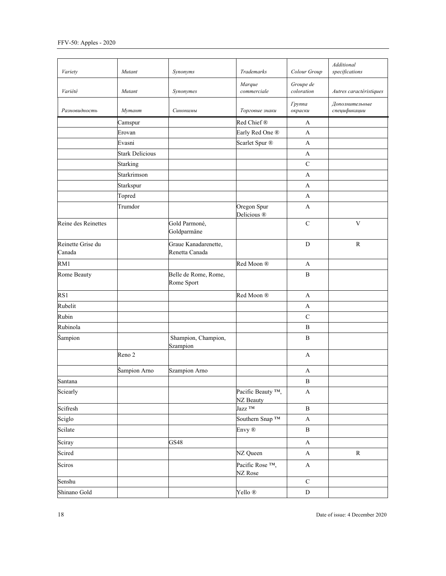| Variety                     | Mutant                 | Synonyms                               | Trademarks                                  | Colour Group             | Additional<br>specifications   |
|-----------------------------|------------------------|----------------------------------------|---------------------------------------------|--------------------------|--------------------------------|
| Variété                     | Mutant                 | Synonymes                              | Marque<br>commerciale                       | Groupe de<br>coloration  | Autres caractéristiques        |
| Разновидность               | Мутант                 | Синонимы                               | Торговые знаки                              | <b>Tpynna</b><br>окраски | Дополнительные<br>спецификации |
|                             | Camspur                |                                        | Red Chief®                                  | A                        |                                |
|                             | Erovan                 |                                        | Early Red One ®                             | A                        |                                |
|                             | Evasni                 |                                        | Scarlet Spur ®                              | A                        |                                |
|                             | <b>Stark Delicious</b> |                                        |                                             | A                        |                                |
|                             | <b>Starking</b>        |                                        |                                             | $\mathsf{C}$             |                                |
|                             | Starkrimson            |                                        |                                             | A                        |                                |
|                             | Starkspur              |                                        |                                             | A                        |                                |
|                             | Topred                 |                                        |                                             | A                        |                                |
|                             | Trumdor                |                                        | Oregon Spur<br>Delicious <sup>®</sup>       | A                        |                                |
| Reine des Reinettes         |                        | Gold Parmoné,<br>Goldparmäne           |                                             | $\mathbf C$              | $\overline{\mathbf{V}}$        |
| Reinette Grise du<br>Canada |                        | Graue Kanadarenette,<br>Renetta Canada |                                             | ${\bf D}$                | ${\mathbb R}$                  |
| RM1                         |                        |                                        | Red Moon ®                                  | A                        |                                |
| Rome Beauty                 |                        | Belle de Rome, Rome,<br>Rome Sport     |                                             | $\, {\bf B}$             |                                |
| RS1                         |                        |                                        | Red Moon ®                                  | A                        |                                |
| Rubelit                     |                        |                                        |                                             | A                        |                                |
| Rubin                       |                        |                                        |                                             | $\mathbf C$              |                                |
| Rubinola                    |                        |                                        |                                             | B                        |                                |
| Šampion                     |                        | Shampion, Champion,<br>Szampion        |                                             | $\mathbf{B}$             |                                |
|                             | Reno 2                 |                                        |                                             | A                        |                                |
|                             | Šampion Arno           | Szampion Arno                          |                                             | A                        |                                |
| Santana                     |                        |                                        |                                             | $\, {\bf B}$             |                                |
| Sciearly                    |                        |                                        | Pacific Beauty <sup>TM</sup> ,<br>NZ Beauty | A                        |                                |
| Scifresh                    |                        |                                        | Jazz TM                                     | $\, {\bf B}$             |                                |
| Sciglo                      |                        |                                        | Southern Snap TM                            | A                        |                                |
| Scilate                     |                        |                                        | Envy ®                                      | $\, {\bf B}$             |                                |
| Sciray                      |                        | GS48                                   |                                             | $\mathbf A$              |                                |
| Scired                      |                        |                                        | NZ Queen                                    | $\mathbf A$              | $\mathbf R$                    |
| Sciros                      |                        |                                        | Pacific Rose <sup>TM</sup> ,<br>NZ Rose     | A                        |                                |
| Senshu                      |                        |                                        |                                             | $\mathsf C$              |                                |
| Shinano Gold                |                        |                                        | Yello ®                                     | ${\bf D}$                |                                |